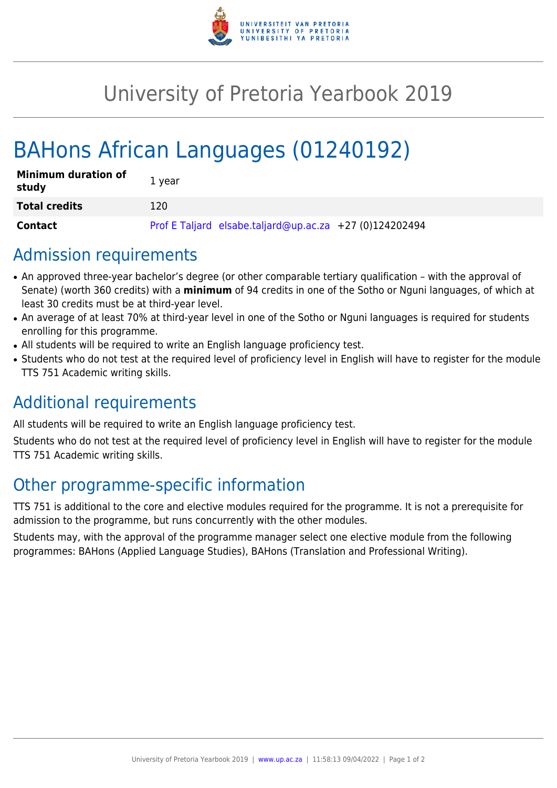

# University of Pretoria Yearbook 2019

# BAHons African Languages (01240192)

| <b>Minimum duration of</b><br>study | 1 year                                                  |
|-------------------------------------|---------------------------------------------------------|
| <b>Total credits</b>                | 120.                                                    |
| Contact                             | Prof E Taljard elsabe.taljard@up.ac.za +27 (0)124202494 |

### Admission requirements

- An approved three-year bachelor's degree (or other comparable tertiary qualification with the approval of Senate) (worth 360 credits) with a **minimum** of 94 credits in one of the Sotho or Nguni languages, of which at least 30 credits must be at third-year level.
- An average of at least 70% at third-year level in one of the Sotho or Nguni languages is required for students enrolling for this programme.
- All students will be required to write an English language proficiency test.
- Students who do not test at the required level of proficiency level in English will have to register for the module TTS 751 Academic writing skills.

## Additional requirements

All students will be required to write an English language proficiency test.

Students who do not test at the required level of proficiency level in English will have to register for the module TTS 751 Academic writing skills.

## Other programme-specific information

TTS 751 is additional to the core and elective modules required for the programme. It is not a prerequisite for admission to the programme, but runs concurrently with the other modules.

Students may, with the approval of the programme manager select one elective module from the following programmes: BAHons (Applied Language Studies), BAHons (Translation and Professional Writing).